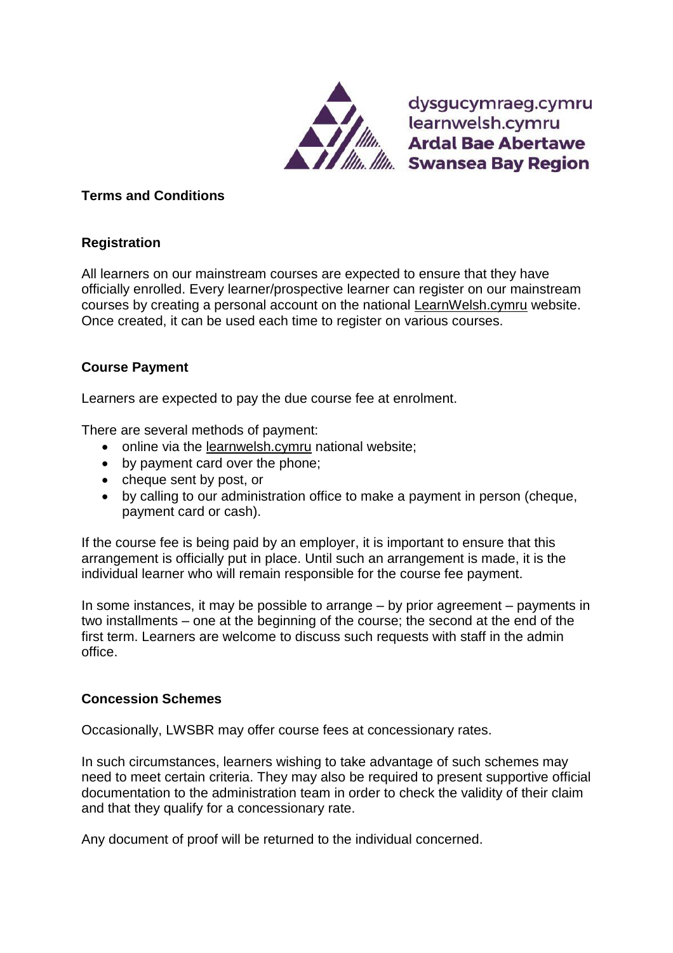

dysgucymraeg.cymru learnwelsh.cymru learnwelsh.cymru<br>**Ardal Bae Abertawe Example Bay Region** 

## **Terms and Conditions**

# **Registration**

All learners on our mainstream courses are expected to ensure that they have officially enrolled. Every learner/prospective learner can register on our mainstream courses by creating a personal account on the national [LearnWelsh.cymru](https://learnwelsh.cymru/about-us/providers/swansea-university/) website. Once created, it can be used each time to register on various courses.

### **Course Payment**

Learners are expected to pay the due course fee at enrolment.

There are several methods of payment:

- online via the [learnwelsh.cymru](https://learnwelsh.cymru/) national website;
- by payment card over the phone;
- cheque sent by post, or
- by calling to our administration office to make a payment in person (cheque, payment card or cash).

If the course fee is being paid by an employer, it is important to ensure that this arrangement is officially put in place. Until such an arrangement is made, it is the individual learner who will remain responsible for the course fee payment.

In some instances, it may be possible to arrange – by prior agreement – payments in two installments – one at the beginning of the course; the second at the end of the first term. Learners are welcome to discuss such requests with staff in the admin office.

#### **Concession Schemes**

Occasionally, LWSBR may offer course fees at concessionary rates.

In such circumstances, learners wishing to take advantage of such schemes may need to meet certain criteria. They may also be required to present supportive official documentation to the administration team in order to check the validity of their claim and that they qualify for a concessionary rate.

Any document of proof will be returned to the individual concerned.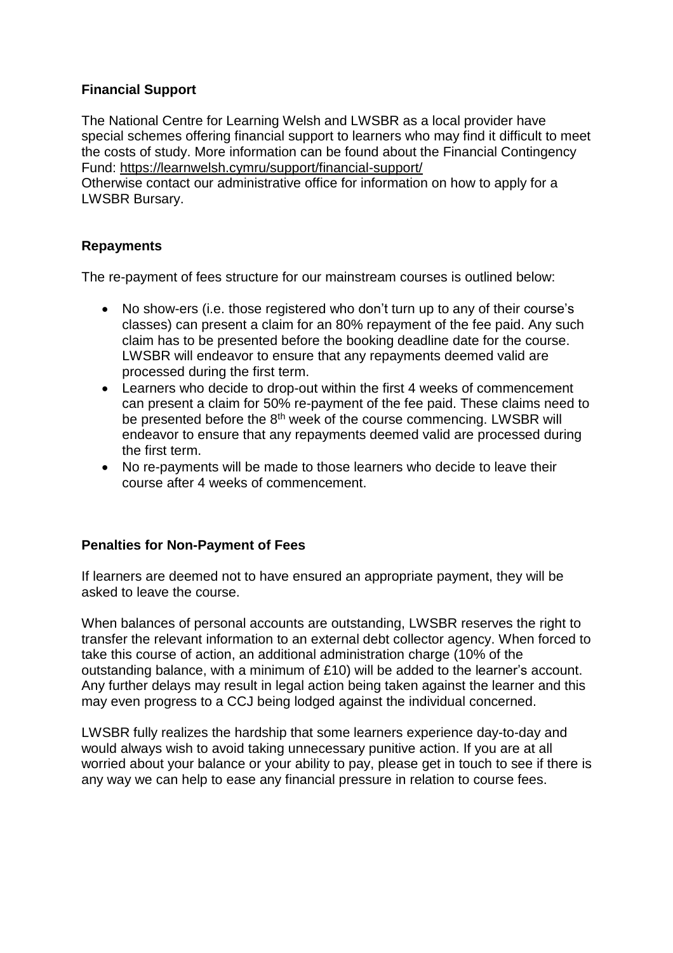### **Financial Support**

The National Centre for Learning Welsh and LWSBR as a local provider have special schemes offering financial support to learners who may find it difficult to meet the costs of study. More information can be found about the Financial Contingency Fund: <https://learnwelsh.cymru/support/financial-support/>

Otherwise contact our administrative office for information on how to apply for a LWSBR Bursary.

### **Repayments**

The re-payment of fees structure for our mainstream courses is outlined below:

- No show-ers (i.e. those registered who don't turn up to any of their course's classes) can present a claim for an 80% repayment of the fee paid. Any such claim has to be presented before the booking deadline date for the course. LWSBR will endeavor to ensure that any repayments deemed valid are processed during the first term.
- Learners who decide to drop-out within the first 4 weeks of commencement can present a claim for 50% re-payment of the fee paid. These claims need to be presented before the 8<sup>th</sup> week of the course commencing. LWSBR will endeavor to ensure that any repayments deemed valid are processed during the first term.
- No re-payments will be made to those learners who decide to leave their course after 4 weeks of commencement.

#### **Penalties for Non-Payment of Fees**

If learners are deemed not to have ensured an appropriate payment, they will be asked to leave the course.

When balances of personal accounts are outstanding, LWSBR reserves the right to transfer the relevant information to an external debt collector agency. When forced to take this course of action, an additional administration charge (10% of the outstanding balance, with a minimum of £10) will be added to the learner's account. Any further delays may result in legal action being taken against the learner and this may even progress to a CCJ being lodged against the individual concerned.

LWSBR fully realizes the hardship that some learners experience day-to-day and would always wish to avoid taking unnecessary punitive action. If you are at all worried about your balance or your ability to pay, please get in touch to see if there is any way we can help to ease any financial pressure in relation to course fees.